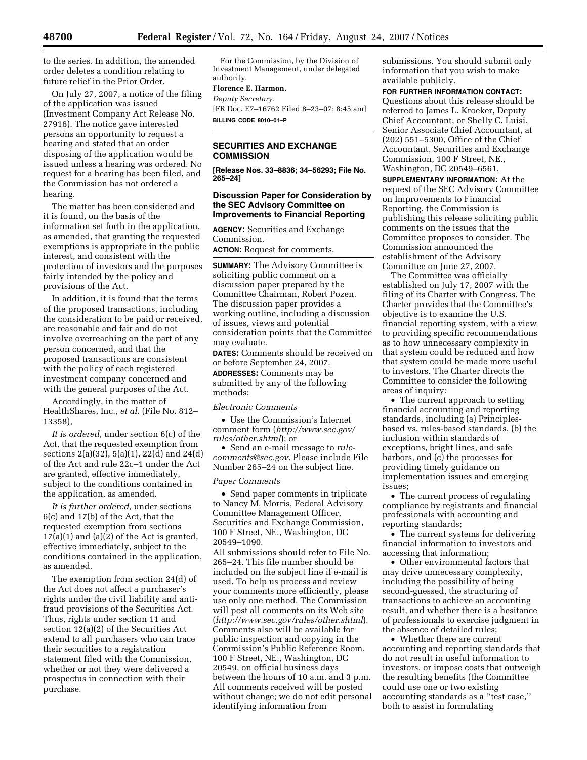to the series. In addition, the amended order deletes a condition relating to future relief in the Prior Order.

On July 27, 2007, a notice of the filing of the application was issued (Investment Company Act Release No. 27916). The notice gave interested persons an opportunity to request a hearing and stated that an order disposing of the application would be issued unless a hearing was ordered. No request for a hearing has been filed, and the Commission has not ordered a hearing.

The matter has been considered and it is found, on the basis of the information set forth in the application, as amended, that granting the requested exemptions is appropriate in the public interest, and consistent with the protection of investors and the purposes fairly intended by the policy and provisions of the Act.

In addition, it is found that the terms of the proposed transactions, including the consideration to be paid or received, are reasonable and fair and do not involve overreaching on the part of any person concerned, and that the proposed transactions are consistent with the policy of each registered investment company concerned and with the general purposes of the Act.

Accordingly, in the matter of HealthShares, Inc., *et al.* (File No. 812– 13358),

*It is ordered,* under section 6(c) of the Act, that the requested exemption from sections 2(a)(32), 5(a)(1), 22(d) and 24(d) of the Act and rule 22c–1 under the Act are granted, effective immediately, subject to the conditions contained in the application, as amended.

*It is further ordered,* under sections 6(c) and 17(b) of the Act, that the requested exemption from sections  $17(a)(1)$  and  $(a)(2)$  of the Act is granted, effective immediately, subject to the conditions contained in the application, as amended.

The exemption from section 24(d) of the Act does not affect a purchaser's rights under the civil liability and antifraud provisions of the Securities Act. Thus, rights under section 11 and section 12(a)(2) of the Securities Act extend to all purchasers who can trace their securities to a registration statement filed with the Commission, whether or not they were delivered a prospectus in connection with their purchase.

For the Commission, by the Division of Investment Management, under delegated authority.

## **Florence E. Harmon,**

*Deputy Secretary.*  [FR Doc. E7–16762 Filed 8–23–07; 8:45 am] **BILLING CODE 8010–01–P** 

## **SECURITIES AND EXCHANGE COMMISSION**

**[Release Nos. 33–8836; 34–56293; File No. 265–24]** 

## **Discussion Paper for Consideration by the SEC Advisory Committee on Improvements to Financial Reporting**

**AGENCY:** Securities and Exchange Commission.

**ACTION:** Request for comments.

**SUMMARY:** The Advisory Committee is soliciting public comment on a discussion paper prepared by the Committee Chairman, Robert Pozen. The discussion paper provides a working outline, including a discussion of issues, views and potential consideration points that the Committee may evaluate.

**DATES:** Comments should be received on or before September 24, 2007.

**ADDRESSES:** Comments may be submitted by any of the following methods:

*Electronic Comments* 

• Use the Commission's Internet comment form (*http://www.sec.gov/ rules/other.shtml*); or

• Send an e-mail message to *rulecomments@sec.gov.* Please include File Number 265–24 on the subject line.

## *Paper Comments*

• Send paper comments in triplicate to Nancy M. Morris, Federal Advisory Committee Management Officer, Securities and Exchange Commission, 100 F Street, NE., Washington, DC 20549–1090.

All submissions should refer to File No. 265–24. This file number should be included on the subject line if e-mail is used. To help us process and review your comments more efficiently, please use only one method. The Commission will post all comments on its Web site (*http://www.sec.gov/rules/other.shtml*). Comments also will be available for public inspection and copying in the Commission's Public Reference Room, 100 F Street, NE., Washington, DC 20549, on official business days between the hours of 10 a.m. and 3 p.m. All comments received will be posted without change; we do not edit personal identifying information from

submissions. You should submit only information that you wish to make available publicly.

**FOR FURTHER INFORMATION CONTACT:** 

Questions about this release should be referred to James L. Kroeker, Deputy Chief Accountant, or Shelly C. Luisi, Senior Associate Chief Accountant, at (202) 551–5300, Office of the Chief Accountant, Securities and Exchange Commission, 100 F Street, NE., Washington, DC 20549–6561.

**SUPPLEMENTARY INFORMATION:** At the request of the SEC Advisory Committee on Improvements to Financial Reporting, the Commission is publishing this release soliciting public comments on the issues that the Committee proposes to consider. The Commission announced the establishment of the Advisory Committee on June 27, 2007.

The Committee was officially established on July 17, 2007 with the filing of its Charter with Congress. The Charter provides that the Committee's objective is to examine the U.S. financial reporting system, with a view to providing specific recommendations as to how unnecessary complexity in that system could be reduced and how that system could be made more useful to investors. The Charter directs the Committee to consider the following areas of inquiry:

• The current approach to setting financial accounting and reporting standards, including (a) Principlesbased vs. rules-based standards, (b) the inclusion within standards of exceptions, bright lines, and safe harbors, and (c) the processes for providing timely guidance on implementation issues and emerging issues;

• The current process of regulating compliance by registrants and financial professionals with accounting and reporting standards;

• The current systems for delivering financial information to investors and accessing that information;

• Other environmental factors that may drive unnecessary complexity, including the possibility of being second-guessed, the structuring of transactions to achieve an accounting result, and whether there is a hesitance of professionals to exercise judgment in the absence of detailed rules;

• Whether there are current accounting and reporting standards that do not result in useful information to investors, or impose costs that outweigh the resulting benefits (the Committee could use one or two existing accounting standards as a ''test case,'' both to assist in formulating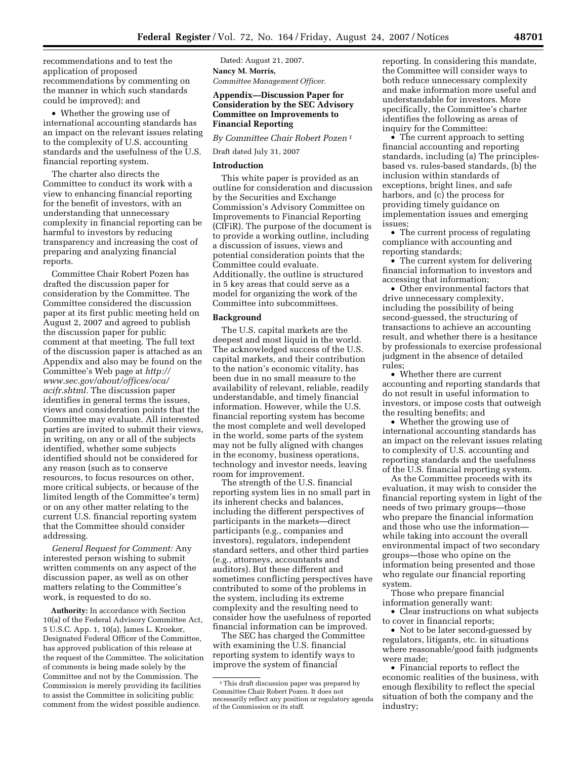recommendations and to test the application of proposed recommendations by commenting on the manner in which such standards could be improved); and

• Whether the growing use of international accounting standards has an impact on the relevant issues relating to the complexity of U.S. accounting standards and the usefulness of the U.S. financial reporting system.

The charter also directs the Committee to conduct its work with a view to enhancing financial reporting for the benefit of investors, with an understanding that unnecessary complexity in financial reporting can be harmful to investors by reducing transparency and increasing the cost of preparing and analyzing financial reports.

Committee Chair Robert Pozen has drafted the discussion paper for consideration by the Committee. The Committee considered the discussion paper at its first public meeting held on August 2, 2007 and agreed to publish the discussion paper for public comment at that meeting. The full text of the discussion paper is attached as an Appendix and also may be found on the Committee's Web page at *http:// www.sec.gov/about/offices/oca/ acifr.shtml.* The discussion paper identifies in general terms the issues, views and consideration points that the Committee may evaluate. All interested parties are invited to submit their views, in writing, on any or all of the subjects identified, whether some subjects identified should not be considered for any reason (such as to conserve resources, to focus resources on other, more critical subjects, or because of the limited length of the Committee's term) or on any other matter relating to the current U.S. financial reporting system that the Committee should consider addressing.

*General Request for Comment:* Any interested person wishing to submit written comments on any aspect of the discussion paper, as well as on other matters relating to the Committee's work, is requested to do so.

**Authority:** In accordance with Section 10(a) of the Federal Advisory Committee Act, 5 U.S.C. App. 1, 10(a), James L. Kroeker, Designated Federal Officer of the Committee, has approved publication of this release at the request of the Committee. The solicitation of comments is being made solely by the Committee and not by the Commission. The Commission is merely providing its facilities to assist the Committee in soliciting public comment from the widest possible audience.

Dated: August 21, 2007. **Nancy M. Morris,**  *Committee Management Officer.* 

### **Appendix—Discussion Paper for Consideration by the SEC Advisory Committee on Improvements to Financial Reporting**

*By Committee Chair Robert Pozen 1*

## Draft dated July 31, 2007

#### **Introduction**

This white paper is provided as an outline for consideration and discussion by the Securities and Exchange Commission's Advisory Committee on Improvements to Financial Reporting (CIFiR). The purpose of the document is to provide a working outline, including a discussion of issues, views and potential consideration points that the Committee could evaluate. Additionally, the outline is structured in 5 key areas that could serve as a model for organizing the work of the Committee into subcommittees.

#### **Background**

The U.S. capital markets are the deepest and most liquid in the world. The acknowledged success of the U.S. capital markets, and their contribution to the nation's economic vitality, has been due in no small measure to the availability of relevant, reliable, readily understandable, and timely financial information. However, while the U.S. financial reporting system has become the most complete and well developed in the world, some parts of the system may not be fully aligned with changes in the economy, business operations, technology and investor needs, leaving room for improvement.

The strength of the U.S. financial reporting system lies in no small part in its inherent checks and balances, including the different perspectives of participants in the markets—direct participants (e.g., companies and investors), regulators, independent standard setters, and other third parties (e.g., attorneys, accountants and auditors). But these different and sometimes conflicting perspectives have contributed to some of the problems in the system, including its extreme complexity and the resulting need to consider how the usefulness of reported financial information can be improved.

The SEC has charged the Committee with examining the U.S. financial reporting system to identify ways to improve the system of financial

reporting. In considering this mandate, the Committee will consider ways to both reduce unnecessary complexity and make information more useful and understandable for investors. More specifically, the Committee's charter identifies the following as areas of inquiry for the Committee:

• The current approach to setting financial accounting and reporting standards, including (a) The principlesbased vs. rules-based standards, (b) the inclusion within standards of exceptions, bright lines, and safe harbors, and (c) the process for providing timely guidance on implementation issues and emerging issues;

• The current process of regulating compliance with accounting and reporting standards;

• The current system for delivering financial information to investors and accessing that information;

• Other environmental factors that drive unnecessary complexity, including the possibility of being second-guessed, the structuring of transactions to achieve an accounting result, and whether there is a hesitance by professionals to exercise professional judgment in the absence of detailed rules;

• Whether there are current accounting and reporting standards that do not result in useful information to investors, or impose costs that outweigh the resulting benefits; and

• Whether the growing use of international accounting standards has an impact on the relevant issues relating to complexity of U.S. accounting and reporting standards and the usefulness of the U.S. financial reporting system.

As the Committee proceeds with its evaluation, it may wish to consider the financial reporting system in light of the needs of two primary groups—those who prepare the financial information and those who use the information while taking into account the overall environmental impact of two secondary groups—those who opine on the information being presented and those who regulate our financial reporting system.

Those who prepare financial information generally want:

• Clear instructions on what subjects to cover in financial reports;

• Not to be later second-guessed by regulators, litigants, etc. in situations where reasonable/good faith judgments were made;

• Financial reports to reflect the economic realities of the business, with enough flexibility to reflect the special situation of both the company and the industry;

<sup>&</sup>lt;sup>1</sup>This draft discussion paper was prepared by Committee Chair Robert Pozen. It does not necessarily reflect any position or regulatory agenda of the Commission or its staff.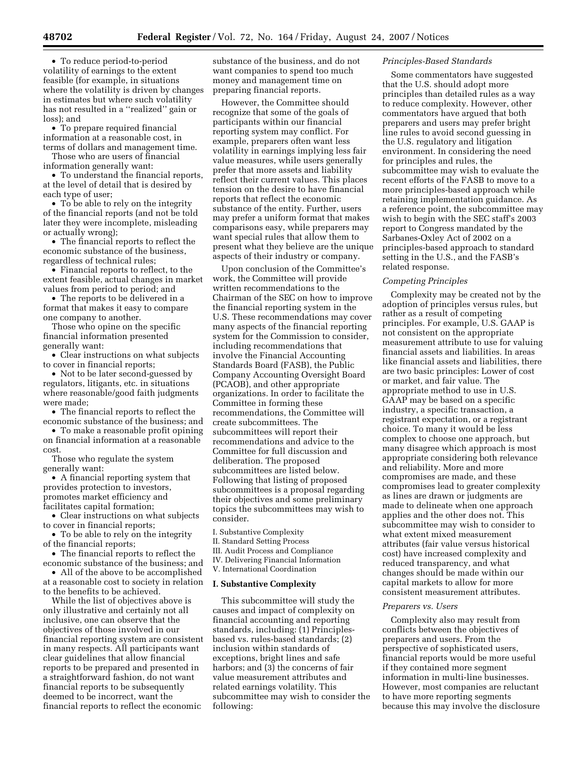• To reduce period-to-period volatility of earnings to the extent feasible (for example, in situations where the volatility is driven by changes in estimates but where such volatility has not resulted in a ''realized'' gain or loss); and

• To prepare required financial information at a reasonable cost, in terms of dollars and management time.

Those who are users of financial information generally want:

• To understand the financial reports, at the level of detail that is desired by each type of user;

• To be able to rely on the integrity of the financial reports (and not be told later they were incomplete, misleading or actually wrong);

• The financial reports to reflect the economic substance of the business, regardless of technical rules;

• Financial reports to reflect, to the extent feasible, actual changes in market values from period to period; and

• The reports to be delivered in a format that makes it easy to compare one company to another.

Those who opine on the specific financial information presented generally want:

• Clear instructions on what subjects to cover in financial reports;

• Not to be later second-guessed by regulators, litigants, etc. in situations where reasonable/good faith judgments were made;

• The financial reports to reflect the economic substance of the business; and

• To make a reasonable profit opining on financial information at a reasonable cost.

Those who regulate the system generally want:

• A financial reporting system that provides protection to investors, promotes market efficiency and facilitates capital formation;

• Clear instructions on what subjects to cover in financial reports;

• To be able to rely on the integrity of the financial reports;

• The financial reports to reflect the economic substance of the business; and

• All of the above to be accomplished at a reasonable cost to society in relation to the benefits to be achieved.

While the list of objectives above is only illustrative and certainly not all inclusive, one can observe that the objectives of those involved in our financial reporting system are consistent in many respects. All participants want clear guidelines that allow financial reports to be prepared and presented in a straightforward fashion, do not want financial reports to be subsequently deemed to be incorrect, want the financial reports to reflect the economic

substance of the business, and do not want companies to spend too much money and management time on preparing financial reports.

However, the Committee should recognize that some of the goals of participants within our financial reporting system may conflict. For example, preparers often want less volatility in earnings implying less fair value measures, while users generally prefer that more assets and liability reflect their current values. This places tension on the desire to have financial reports that reflect the economic substance of the entity. Further, users may prefer a uniform format that makes comparisons easy, while preparers may want special rules that allow them to present what they believe are the unique aspects of their industry or company.

Upon conclusion of the Committee's work, the Committee will provide written recommendations to the Chairman of the SEC on how to improve the financial reporting system in the U.S. These recommendations may cover many aspects of the financial reporting system for the Commission to consider, including recommendations that involve the Financial Accounting Standards Board (FASB), the Public Company Accounting Oversight Board (PCAOB), and other appropriate organizations. In order to facilitate the Committee in forming these recommendations, the Committee will create subcommittees. The subcommittees will report their recommendations and advice to the Committee for full discussion and deliberation. The proposed subcommittees are listed below. Following that listing of proposed subcommittees is a proposal regarding their objectives and some preliminary topics the subcommittees may wish to consider.

I. Substantive Complexity

- II. Standard Setting Process
- III. Audit Process and Compliance
- IV. Delivering Financial Information
- V. International Coordination

# **I. Substantive Complexity**

This subcommittee will study the causes and impact of complexity on financial accounting and reporting standards, including: (1) Principlesbased vs. rules-based standards; (2) inclusion within standards of exceptions, bright lines and safe harbors; and (3) the concerns of fair value measurement attributes and related earnings volatility. This subcommittee may wish to consider the following:

### *Principles-Based Standards*

Some commentators have suggested that the U.S. should adopt more principles than detailed rules as a way to reduce complexity. However, other commentators have argued that both preparers and users may prefer bright line rules to avoid second guessing in the U.S. regulatory and litigation environment. In considering the need for principles and rules, the subcommittee may wish to evaluate the recent efforts of the FASB to move to a more principles-based approach while retaining implementation guidance. As a reference point, the subcommittee may wish to begin with the SEC staff's 2003 report to Congress mandated by the Sarbanes-Oxley Act of 2002 on a principles-based approach to standard setting in the U.S., and the FASB's related response.

### *Competing Principles*

Complexity may be created not by the adoption of principles versus rules, but rather as a result of competing principles. For example, U.S. GAAP is not consistent on the appropriate measurement attribute to use for valuing financial assets and liabilities. In areas like financial assets and liabilities, there are two basic principles: Lower of cost or market, and fair value. The appropriate method to use in U.S. GAAP may be based on a specific industry, a specific transaction, a registrant expectation, or a registrant choice. To many it would be less complex to choose one approach, but many disagree which approach is most appropriate considering both relevance and reliability. More and more compromises are made, and these compromises lead to greater complexity as lines are drawn or judgments are made to delineate when one approach applies and the other does not. This subcommittee may wish to consider to what extent mixed measurement attributes (fair value versus historical cost) have increased complexity and reduced transparency, and what changes should be made within our capital markets to allow for more consistent measurement attributes.

#### *Preparers vs. Users*

Complexity also may result from conflicts between the objectives of preparers and users. From the perspective of sophisticated users, financial reports would be more useful if they contained more segment information in multi-line businesses. However, most companies are reluctant to have more reporting segments because this may involve the disclosure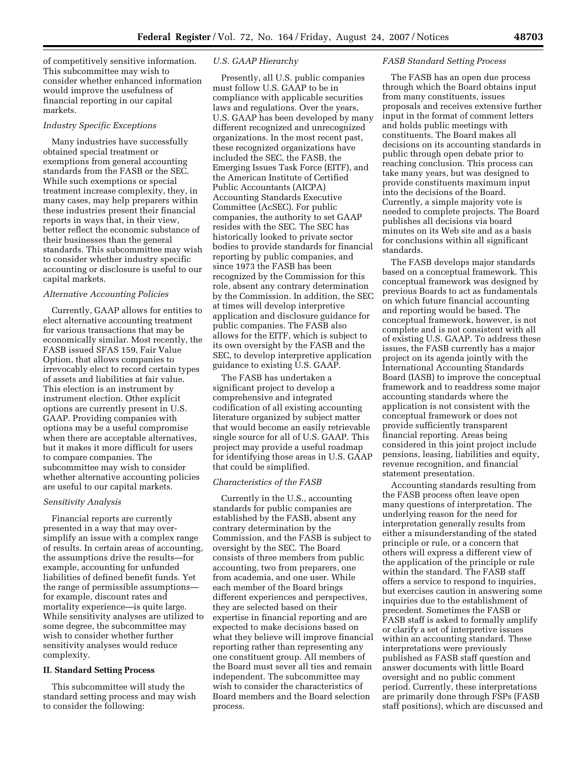of competitively sensitive information. This subcommittee may wish to consider whether enhanced information would improve the usefulness of financial reporting in our capital markets.

#### *Industry Specific Exceptions*

Many industries have successfully obtained special treatment or exemptions from general accounting standards from the FASB or the SEC. While such exemptions or special treatment increase complexity, they, in many cases, may help preparers within these industries present their financial reports in ways that, in their view, better reflect the economic substance of their businesses than the general standards. This subcommittee may wish to consider whether industry specific accounting or disclosure is useful to our capital markets.

### *Alternative Accounting Policies*

Currently, GAAP allows for entities to elect alternative accounting treatment for various transactions that may be economically similar. Most recently, the FASB issued SFAS 159, Fair Value Option, that allows companies to irrevocably elect to record certain types of assets and liabilities at fair value. This election is an instrument by instrument election. Other explicit options are currently present in U.S. GAAP. Providing companies with options may be a useful compromise when there are acceptable alternatives, but it makes it more difficult for users to compare companies. The subcommittee may wish to consider whether alternative accounting policies are useful to our capital markets.

### *Sensitivity Analysis*

Financial reports are currently presented in a way that may oversimplify an issue with a complex range of results. In certain areas of accounting, the assumptions drive the results—for example, accounting for unfunded liabilities of defined benefit funds. Yet the range of permissible assumptions for example, discount rates and mortality experience—is quite large. While sensitivity analyses are utilized to some degree, the subcommittee may wish to consider whether further sensitivity analyses would reduce complexity.

## **II. Standard Setting Process**

This subcommittee will study the standard setting process and may wish to consider the following:

### *U.S. GAAP Hierarchy*

Presently, all U.S. public companies must follow U.S. GAAP to be in compliance with applicable securities laws and regulations. Over the years, U.S. GAAP has been developed by many different recognized and unrecognized organizations. In the most recent past, these recognized organizations have included the SEC, the FASB, the Emerging Issues Task Force (EITF), and the American Institute of Certified Public Accountants (AICPA) Accounting Standards Executive Committee (AcSEC). For public companies, the authority to set GAAP resides with the SEC. The SEC has historically looked to private sector bodies to provide standards for financial reporting by public companies, and since 1973 the FASB has been recognized by the Commission for this role, absent any contrary determination by the Commission. In addition, the SEC at times will develop interpretive application and disclosure guidance for public companies. The FASB also allows for the EITF, which is subject to its own oversight by the FASB and the SEC, to develop interpretive application guidance to existing U.S. GAAP.

The FASB has undertaken a significant project to develop a comprehensive and integrated codification of all existing accounting literature organized by subject matter that would become an easily retrievable single source for all of U.S. GAAP. This project may provide a useful roadmap for identifying those areas in U.S. GAAP that could be simplified.

#### *Characteristics of the FASB*

Currently in the U.S., accounting standards for public companies are established by the FASB, absent any contrary determination by the Commission, and the FASB is subject to oversight by the SEC. The Board consists of three members from public accounting, two from preparers, one from academia, and one user. While each member of the Board brings different experiences and perspectives, they are selected based on their expertise in financial reporting and are expected to make decisions based on what they believe will improve financial reporting rather than representing any one constituent group. All members of the Board must sever all ties and remain independent. The subcommittee may wish to consider the characteristics of Board members and the Board selection process.

#### *FASB Standard Setting Process*

The FASB has an open due process through which the Board obtains input from many constituents, issues proposals and receives extensive further input in the format of comment letters and holds public meetings with constituents. The Board makes all decisions on its accounting standards in public through open debate prior to reaching conclusion. This process can take many years, but was designed to provide constituents maximum input into the decisions of the Board. Currently, a simple majority vote is needed to complete projects. The Board publishes all decisions via board minutes on its Web site and as a basis for conclusions within all significant standards.

The FASB develops major standards based on a conceptual framework. This conceptual framework was designed by previous Boards to act as fundamentals on which future financial accounting and reporting would be based. The conceptual framework, however, is not complete and is not consistent with all of existing U.S. GAAP. To address these issues, the FASB currently has a major project on its agenda jointly with the International Accounting Standards Board (IASB) to improve the conceptual framework and to readdress some major accounting standards where the application is not consistent with the conceptual framework or does not provide sufficiently transparent financial reporting. Areas being considered in this joint project include pensions, leasing, liabilities and equity, revenue recognition, and financial statement presentation.

Accounting standards resulting from the FASB process often leave open many questions of interpretation. The underlying reason for the need for interpretation generally results from either a misunderstanding of the stated principle or rule, or a concern that others will express a different view of the application of the principle or rule within the standard. The FASB staff offers a service to respond to inquiries, but exercises caution in answering some inquiries due to the establishment of precedent. Sometimes the FASB or FASB staff is asked to formally amplify or clarify a set of interpretive issues within an accounting standard. These interpretations were previously published as FASB staff question and answer documents with little Board oversight and no public comment period. Currently, these interpretations are primarily done through FSPs (FASB staff positions), which are discussed and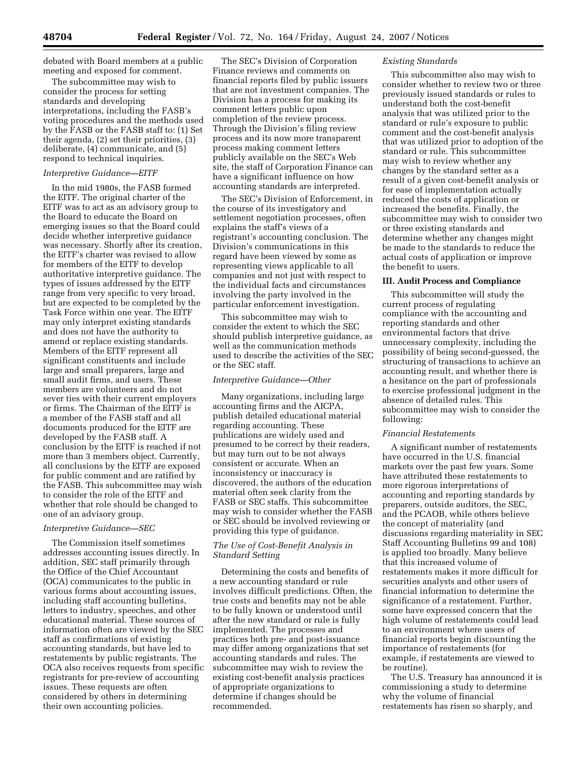debated with Board members at a public meeting and exposed for comment.

The subcommittee may wish to consider the process for setting standards and developing interpretations, including the FASB's voting procedures and the methods used by the FASB or the FASB staff to: (1) Set their agenda, (2) set their priorities, (3) deliberate, (4) communicate, and (5) respond to technical inquiries.

### *Interpretive Guidance—EITF*

In the mid 1980s, the FASB formed the EITF. The original charter of the EITF was to act as an advisory group to the Board to educate the Board on emerging issues so that the Board could decide whether interpretive guidance was necessary. Shortly after its creation, the EITF's charter was revised to allow for members of the EITF to develop authoritative interpretive guidance. The types of issues addressed by the EITF range from very specific to very broad, but are expected to be completed by the Task Force within one year. The EITF may only interpret existing standards and does not have the authority to amend or replace existing standards. Members of the EITF represent all significant constituents and include large and small preparers, large and small audit firms, and users. These members are volunteers and do not sever ties with their current employers or firms. The Chairman of the EITF is a member of the FASB staff and all documents produced for the EITF are developed by the FASB staff. A conclusion by the EITF is reached if not more than 3 members object. Currently, all conclusions by the EITF are exposed for public comment and are ratified by the FASB. This subcommittee may wish to consider the role of the EITF and whether that role should be changed to one of an advisory group.

#### *Interpretive Guidance—SEC*

The Commission itself sometimes addresses accounting issues directly. In addition, SEC staff primarily through the Office of the Chief Accountant (OCA) communicates to the public in various forms about accounting issues, including staff accounting bulletins, letters to industry, speeches, and other educational material. These sources of information often are viewed by the SEC staff as confirmations of existing accounting standards, but have led to restatements by public registrants. The OCA also receives requests from specific registrants for pre-review of accounting issues. These requests are often considered by others in determining their own accounting policies.

The SEC's Division of Corporation Finance reviews and comments on financial reports filed by public issuers that are not investment companies. The Division has a process for making its comment letters public upon completion of the review process. Through the Division's filing review process and its now more transparent process making comment letters publicly available on the SEC's Web site, the staff of Corporation Finance can have a significant influence on how accounting standards are interpreted.

The SEC's Division of Enforcement, in the course of its investigatory and settlement negotiation processes, often explains the staff's views of a registrant's accounting conclusion. The Division's communications in this regard have been viewed by some as representing views applicable to all companies and not just with respect to the individual facts and circumstances involving the party involved in the particular enforcement investigation.

This subcommittee may wish to consider the extent to which the SEC should publish interpretive guidance, as well as the communication methods used to describe the activities of the SEC or the SEC staff.

## *Interpretive Guidance—Other*

Many organizations, including large accounting firms and the AICPA, publish detailed educational material regarding accounting. These publications are widely used and presumed to be correct by their readers, but may turn out to be not always consistent or accurate. When an inconsistency or inaccuracy is discovered, the authors of the education material often seek clarity from the FASB or SEC staffs. This subcommittee may wish to consider whether the FASB or SEC should be involved reviewing or providing this type of guidance.

## *The Use of Cost-Benefit Analysis in Standard Setting*

Determining the costs and benefits of a new accounting standard or rule involves difficult predictions. Often, the true costs and benefits may not be able to be fully known or understood until after the new standard or rule is fully implemented. The processes and practices both pre- and post-issuance may differ among organizations that set accounting standards and rules. The subcommittee may wish to review the existing cost-benefit analysis practices of appropriate organizations to determine if changes should be recommended.

#### *Existing Standards*

This subcommittee also may wish to consider whether to review two or three previously issued standards or rules to understand both the cost-benefit analysis that was utilized prior to the standard or rule's exposure to public comment and the cost-benefit analysis that was utilized prior to adoption of the standard or rule. This subcommittee may wish to review whether any changes by the standard setter as a result of a given cost-benefit analysis or for ease of implementation actually reduced the costs of application or increased the benefits. Finally, the subcommittee may wish to consider two or three existing standards and determine whether any changes might be made to the standards to reduce the actual costs of application or improve the benefit to users.

#### **III. Audit Process and Compliance**

This subcommittee will study the current process of regulating compliance with the accounting and reporting standards and other environmental factors that drive unnecessary complexity, including the possibility of being second-guessed, the structuring of transactions to achieve an accounting result, and whether there is a hesitance on the part of professionals to exercise professional judgment in the absence of detailed rules. This subcommittee may wish to consider the following:

## *Financial Restatements*

A significant number of restatements have occurred in the U.S. financial markets over the past few years. Some have attributed these restatements to more rigorous interpretations of accounting and reporting standards by preparers, outside auditors, the SEC, and the PCAOB, while others believe the concept of materiality (and discussions regarding materiality in SEC Staff Accounting Bulletins 99 and 108) is applied too broadly. Many believe that this increased volume of restatements makes it more difficult for securities analysts and other users of financial information to determine the significance of a restatement. Further, some have expressed concern that the high volume of restatements could lead to an environment where users of financial reports begin discounting the importance of restatements (for example, if restatements are viewed to be routine).

The U.S. Treasury has announced it is commissioning a study to determine why the volume of financial restatements has risen so sharply, and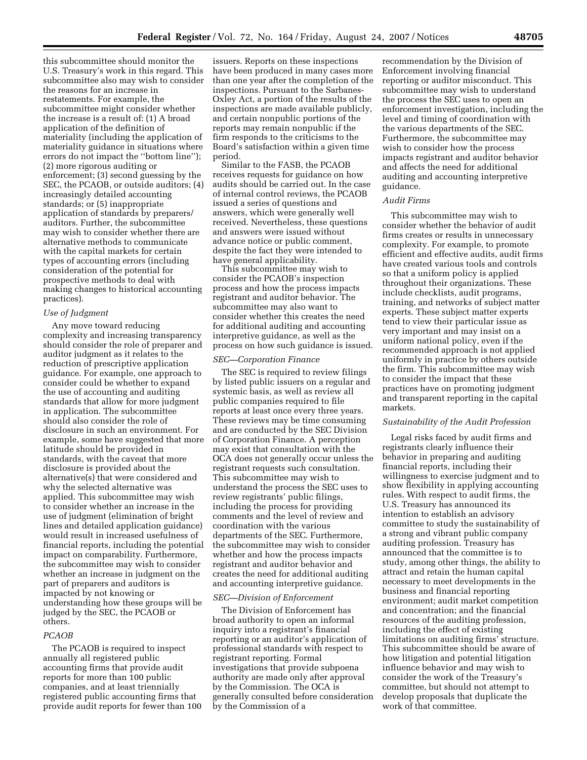this subcommittee should monitor the U.S. Treasury's work in this regard. This subcommittee also may wish to consider the reasons for an increase in restatements. For example, the subcommittee might consider whether the increase is a result of: (1) A broad application of the definition of materiality (including the application of materiality guidance in situations where errors do not impact the ''bottom line''); (2) more rigorous auditing or enforcement; (3) second guessing by the SEC, the PCAOB, or outside auditors; (4) increasingly detailed accounting standards; or (5) inappropriate application of standards by preparers/ auditors. Further, the subcommittee may wish to consider whether there are alternative methods to communicate with the capital markets for certain types of accounting errors (including consideration of the potential for prospective methods to deal with making changes to historical accounting practices).

#### *Use of Judgment*

Any move toward reducing complexity and increasing transparency should consider the role of preparer and auditor judgment as it relates to the reduction of prescriptive application guidance. For example, one approach to consider could be whether to expand the use of accounting and auditing standards that allow for more judgment in application. The subcommittee should also consider the role of disclosure in such an environment. For example, some have suggested that more latitude should be provided in standards, with the caveat that more disclosure is provided about the alternative(s) that were considered and why the selected alternative was applied. This subcommittee may wish to consider whether an increase in the use of judgment (elimination of bright lines and detailed application guidance) would result in increased usefulness of financial reports, including the potential impact on comparability. Furthermore, the subcommittee may wish to consider whether an increase in judgment on the part of preparers and auditors is impacted by not knowing or understanding how these groups will be judged by the SEC, the PCAOB or others.

### *PCAOB*

The PCAOB is required to inspect annually all registered public accounting firms that provide audit reports for more than 100 public companies, and at least triennially registered public accounting firms that provide audit reports for fewer than 100

issuers. Reports on these inspections have been produced in many cases more than one year after the completion of the inspections. Pursuant to the Sarbanes-Oxley Act, a portion of the results of the inspections are made available publicly, and certain nonpublic portions of the reports may remain nonpublic if the firm responds to the criticisms to the Board's satisfaction within a given time period.

Similar to the FASB, the PCAOB receives requests for guidance on how audits should be carried out. In the case of internal control reviews, the PCAOB issued a series of questions and answers, which were generally well received. Nevertheless, these questions and answers were issued without advance notice or public comment, despite the fact they were intended to have general applicability.

This subcommittee may wish to consider the PCAOB's inspection process and how the process impacts registrant and auditor behavior. The subcommittee may also want to consider whether this creates the need for additional auditing and accounting interpretive guidance, as well as the process on how such guidance is issued.

### *SEC—Corporation Finance*

The SEC is required to review filings by listed public issuers on a regular and systemic basis, as well as review all public companies required to file reports at least once every three years. These reviews may be time consuming and are conducted by the SEC Division of Corporation Finance. A perception may exist that consultation with the OCA does not generally occur unless the registrant requests such consultation. This subcommittee may wish to understand the process the SEC uses to review registrants' public filings, including the process for providing comments and the level of review and coordination with the various departments of the SEC. Furthermore, the subcommittee may wish to consider whether and how the process impacts registrant and auditor behavior and creates the need for additional auditing and accounting interpretive guidance.

### *SEC—Division of Enforcement*

The Division of Enforcement has broad authority to open an informal inquiry into a registrant's financial reporting or an auditor's application of professional standards with respect to registrant reporting. Formal investigations that provide subpoena authority are made only after approval by the Commission. The OCA is generally consulted before consideration by the Commission of a

recommendation by the Division of Enforcement involving financial reporting or auditor misconduct. This subcommittee may wish to understand the process the SEC uses to open an enforcement investigation, including the level and timing of coordination with the various departments of the SEC. Furthermore, the subcommittee may wish to consider how the process impacts registrant and auditor behavior and affects the need for additional auditing and accounting interpretive guidance.

# *Audit Firms*

This subcommittee may wish to consider whether the behavior of audit firms creates or results in unnecessary complexity. For example, to promote efficient and effective audits, audit firms have created various tools and controls so that a uniform policy is applied throughout their organizations. These include checklists, audit programs, training, and networks of subject matter experts. These subject matter experts tend to view their particular issue as very important and may insist on a uniform national policy, even if the recommended approach is not applied uniformly in practice by others outside the firm. This subcommittee may wish to consider the impact that these practices have on promoting judgment and transparent reporting in the capital markets.

## *Sustainability of the Audit Profession*

Legal risks faced by audit firms and registrants clearly influence their behavior in preparing and auditing financial reports, including their willingness to exercise judgment and to show flexibility in applying accounting rules. With respect to audit firms, the U.S. Treasury has announced its intention to establish an advisory committee to study the sustainability of a strong and vibrant public company auditing profession. Treasury has announced that the committee is to study, among other things, the ability to attract and retain the human capital necessary to meet developments in the business and financial reporting environment; audit market competition and concentration; and the financial resources of the auditing profession, including the effect of existing limitations on auditing firms' structure. This subcommittee should be aware of how litigation and potential litigation influence behavior and may wish to consider the work of the Treasury's committee, but should not attempt to develop proposals that duplicate the work of that committee.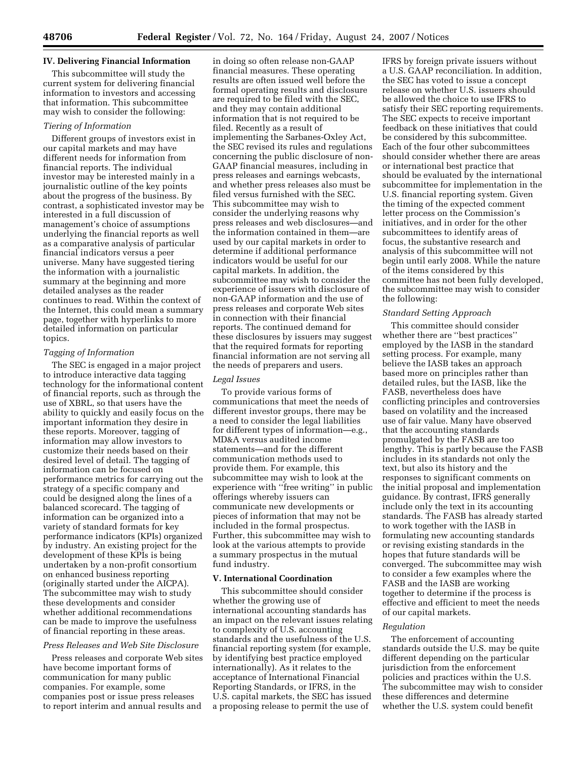## **IV. Delivering Financial Information**

This subcommittee will study the current system for delivering financial information to investors and accessing that information. This subcommittee may wish to consider the following:

## *Tiering of Information*

Different groups of investors exist in our capital markets and may have different needs for information from financial reports. The individual investor may be interested mainly in a journalistic outline of the key points about the progress of the business. By contrast, a sophisticated investor may be interested in a full discussion of management's choice of assumptions underlying the financial reports as well as a comparative analysis of particular financial indicators versus a peer universe. Many have suggested tiering the information with a journalistic summary at the beginning and more detailed analyses as the reader continues to read. Within the context of the Internet, this could mean a summary page, together with hyperlinks to more detailed information on particular topics.

## *Tagging of Information*

The SEC is engaged in a major project to introduce interactive data tagging technology for the informational content of financial reports, such as through the use of XBRL, so that users have the ability to quickly and easily focus on the important information they desire in these reports. Moreover, tagging of information may allow investors to customize their needs based on their desired level of detail. The tagging of information can be focused on performance metrics for carrying out the strategy of a specific company and could be designed along the lines of a balanced scorecard. The tagging of information can be organized into a variety of standard formats for key performance indicators (KPIs) organized by industry. An existing project for the development of these KPIs is being undertaken by a non-profit consortium on enhanced business reporting (originally started under the AICPA). The subcommittee may wish to study these developments and consider whether additional recommendations can be made to improve the usefulness of financial reporting in these areas.

#### *Press Releases and Web Site Disclosure*

Press releases and corporate Web sites have become important forms of communication for many public companies. For example, some companies post or issue press releases to report interim and annual results and

in doing so often release non-GAAP financial measures. These operating results are often issued well before the formal operating results and disclosure are required to be filed with the SEC, and they may contain additional information that is not required to be filed. Recently as a result of implementing the Sarbanes-Oxley Act, the SEC revised its rules and regulations concerning the public disclosure of non-GAAP financial measures, including in press releases and earnings webcasts, and whether press releases also must be filed versus furnished with the SEC. This subcommittee may wish to consider the underlying reasons why press releases and web disclosures—and the information contained in them—are used by our capital markets in order to determine if additional performance indicators would be useful for our capital markets. In addition, the subcommittee may wish to consider the experience of issuers with disclosure of non-GAAP information and the use of press releases and corporate Web sites in connection with their financial reports. The continued demand for these disclosures by issuers may suggest that the required formats for reporting financial information are not serving all the needs of preparers and users.

### *Legal Issues*

To provide various forms of communications that meet the needs of different investor groups, there may be a need to consider the legal liabilities for different types of information—e.g., MD&A versus audited income statements—and for the different communication methods used to provide them. For example, this subcommittee may wish to look at the experience with ''free writing'' in public offerings whereby issuers can communicate new developments or pieces of information that may not be included in the formal prospectus. Further, this subcommittee may wish to look at the various attempts to provide a summary prospectus in the mutual fund industry.

### **V. International Coordination**

This subcommittee should consider whether the growing use of international accounting standards has an impact on the relevant issues relating to complexity of U.S. accounting standards and the usefulness of the U.S. financial reporting system (for example, by identifying best practice employed internationally). As it relates to the acceptance of International Financial Reporting Standards, or IFRS, in the U.S. capital markets, the SEC has issued a proposing release to permit the use of

IFRS by foreign private issuers without a U.S. GAAP reconciliation. In addition, the SEC has voted to issue a concept release on whether U.S. issuers should be allowed the choice to use IFRS to satisfy their SEC reporting requirements. The SEC expects to receive important feedback on these initiatives that could be considered by this subcommittee. Each of the four other subcommittees should consider whether there are areas or international best practice that should be evaluated by the international subcommittee for implementation in the U.S. financial reporting system. Given the timing of the expected comment letter process on the Commission's initiatives, and in order for the other subcommittees to identify areas of focus, the substantive research and analysis of this subcommittee will not begin until early 2008. While the nature of the items considered by this committee has not been fully developed, the subcommittee may wish to consider the following:

#### *Standard Setting Approach*

This committee should consider whether there are ''best practices'' employed by the IASB in the standard setting process. For example, many believe the IASB takes an approach based more on principles rather than detailed rules, but the IASB, like the FASB, nevertheless does have conflicting principles and controversies based on volatility and the increased use of fair value. Many have observed that the accounting standards promulgated by the FASB are too lengthy. This is partly because the FASB includes in its standards not only the text, but also its history and the responses to significant comments on the initial proposal and implementation guidance. By contrast, IFRS generally include only the text in its accounting standards. The FASB has already started to work together with the IASB in formulating new accounting standards or revising existing standards in the hopes that future standards will be converged. The subcommittee may wish to consider a few examples where the FASB and the IASB are working together to determine if the process is effective and efficient to meet the needs of our capital markets.

#### *Regulation*

The enforcement of accounting standards outside the U.S. may be quite different depending on the particular jurisdiction from the enforcement policies and practices within the U.S. The subcommittee may wish to consider these differences and determine whether the U.S. system could benefit